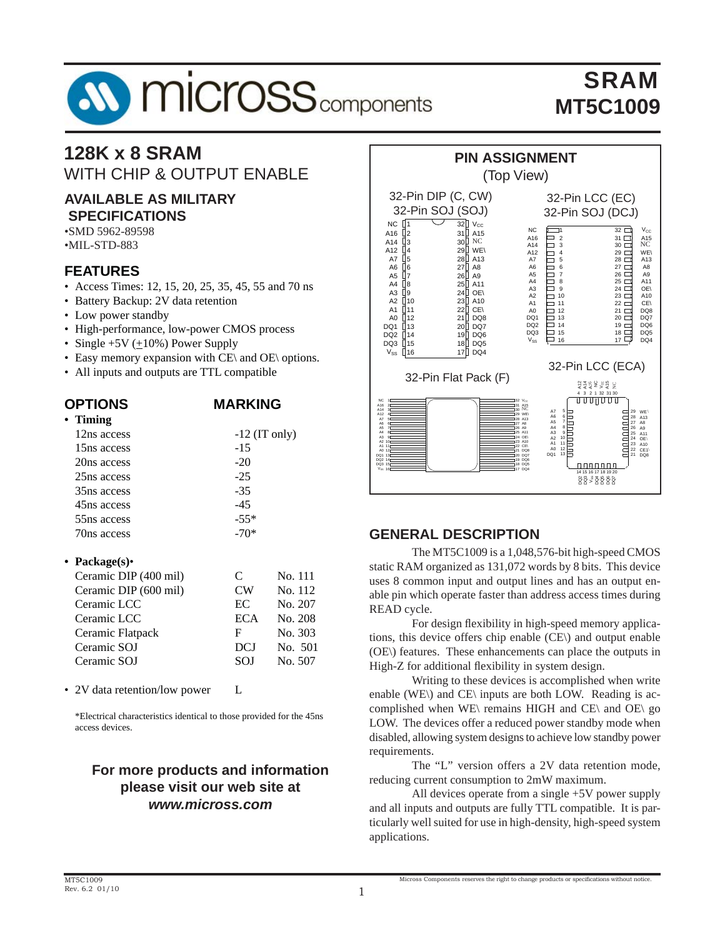# **SV MICrOSS** components

## SRAM **MT5C1009**

### **128K x 8 SRAM** WITH CHIP & OUTPUT ENABLE

#### **AVAILABLE AS MILITARY SPECIFICATIONS**

•SMD 5962-89598 •MIL-STD-883

#### **FEATURES**

- Access Times: 12, 15, 20, 25, 35, 45, 55 and 70 ns
- Battery Backup: 2V data retention
- Low power standby
- High-performance, low-power CMOS process
- Single  $+5V$  ( $+10\%$ ) Power Supply
- Easy memory expansion with CE\ and OE\ options.
- All inputs and outputs are TTL compatible

| <b>OPTIONS</b>          | <b>MARKING</b>  |
|-------------------------|-----------------|
| $\cdot$ Timing          |                 |
| 12ns access             | $-12$ (IT only) |
| 15 <sub>ns</sub> access | -15             |
| 20ns access             | $-20$           |
| 25 <sub>ns</sub> access | $-25$           |
| 35 <sub>ns</sub> access | -35             |
| 45ns access             | -45             |
| 55 <sub>ns</sub> access | $-55*$          |
| 70ns access             | -70*            |
|                         |                 |

#### **• Package(s)**•

| Ceramic DIP (400 mil) | C          | No. 111 |
|-----------------------|------------|---------|
| Ceramic DIP (600 mil) | <b>CW</b>  | No. 112 |
| Ceramic LCC           | EC         | No. 207 |
| Ceramic LCC           | <b>ECA</b> | No. 208 |
| Ceramic Flatpack      | F          | No. 303 |
| Ceramic SOJ           | <b>DCJ</b> | No. 501 |
| Ceramic SOJ           | <b>SOJ</b> | No. 507 |
|                       |            |         |

• 2V data retention/low power L

 \*Electrical characteristics identical to those provided for the 45ns access devices.

#### **For more products and information please visit our web site at** *www.micross.com*



#### **GENERAL DESCRIPTION**

The MT5C1009 is a 1,048,576-bit high-speed CMOS static RAM organized as 131,072 words by 8 bits. This device uses 8 common input and output lines and has an output enable pin which operate faster than address access times during READ cycle.

For design flexibility in high-speed memory applications, this device offers chip enable (CE\) and output enable (OE\) features. These enhancements can place the outputs in High-Z for additional flexibility in system design.

 Writing to these devices is accomplished when write enable (WE\) and CE\ inputs are both LOW. Reading is accomplished when WE\ remains HIGH and CE\ and OE\ go LOW. The devices offer a reduced power standby mode when disabled, allowing system designs to achieve low standby power requirements.

 The "L" version offers a 2V data retention mode, reducing current consumption to 2mW maximum.

 All devices operate from a single +5V power supply and all inputs and outputs are fully TTL compatible. It is particularly well suited for use in high-density, high-speed system applications.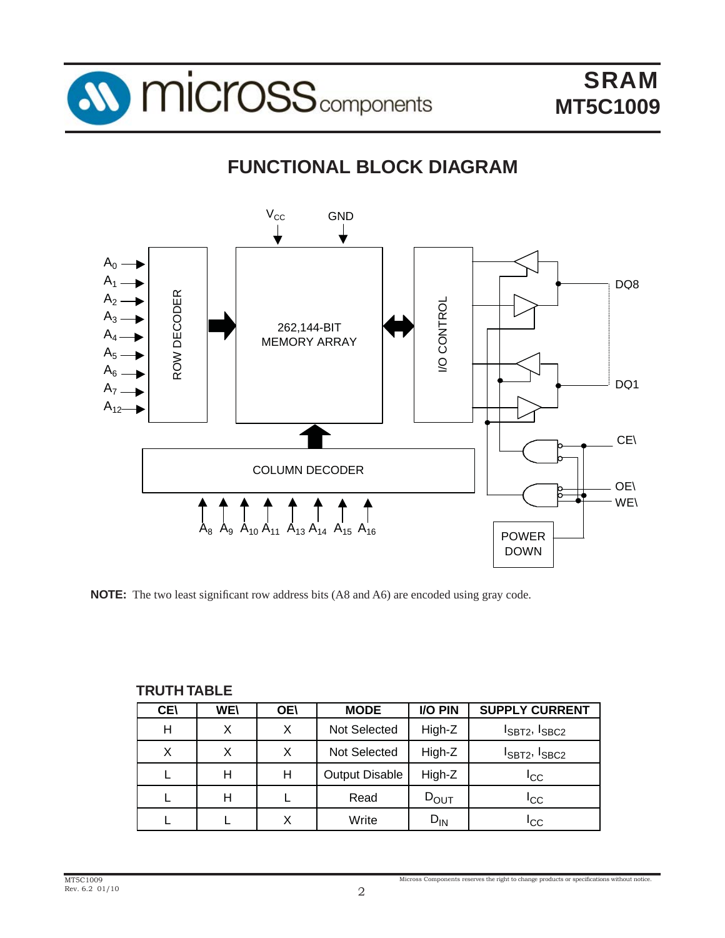

## **FUNCTIONAL BLOCK DIAGRAM**



**NOTE:** The two least significant row address bits (A8 and A6) are encoded using gray code.

| . <del>.</del> <i>.</i> |            |            |                       |                  |                         |
|-------------------------|------------|------------|-----------------------|------------------|-------------------------|
| <b>CEI</b>              | <b>WE\</b> | <b>OE\</b> | <b>MODE</b>           | I/O PIN          | <b>SUPPLY CURRENT</b>   |
| н                       | X          | X          | Not Selected          | High-Z           | $I_{SBT2}$ , $I_{SBC2}$ |
| X                       | X          | X          | <b>Not Selected</b>   | High-Z           | $I_{SBT2}$ , $I_{SBC2}$ |
|                         | н          | н          | <b>Output Disable</b> | High-Z           | <b>I</b> CC             |
|                         | н          |            | Read                  | $D_{\text{OUT}}$ | <sup>I</sup> cc         |
|                         |            | X          | Write                 | $D_{IN}$         | ICC                     |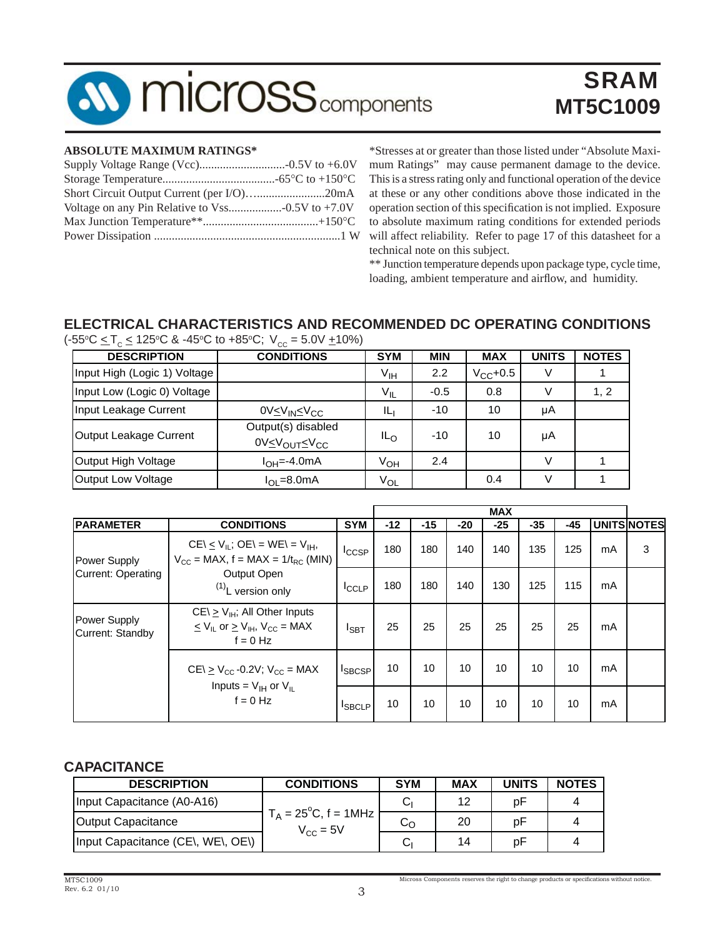## **MICrOSS** components

## SRAM **MT5C1009**

#### **ABSOLUTE MAXIMUM RATINGS\***

| Short Circuit Output Current (per I/O)20mA |
|--------------------------------------------|
|                                            |
|                                            |
|                                            |
|                                            |

\*Stresses at or greater than those listed under "Absolute Maximum Ratings" may cause permanent damage to the device. This is a stress rating only and functional operation of the device at these or any other conditions above those indicated in the operation section of this specification is not implied. Exposure to absolute maximum rating conditions for extended periods will affect reliability. Refer to page 17 of this datasheet for a technical note on this subject.

\*\* Junction temperature depends upon package type, cycle time, loading, ambient temperature and airflow, and humidity.

#### **ELECTRICAL CHARACTERISTICS AND RECOMMENDED DC OPERATING CONDITIONS**

| <b>DESCRIPTION</b>           | <b>CONDITIONS</b>                                          | <b>SYM</b>      | <b>MIN</b> | <b>MAX</b>    | <b>UNITS</b> | <b>NOTES</b> |
|------------------------------|------------------------------------------------------------|-----------------|------------|---------------|--------------|--------------|
| Input High (Logic 1) Voltage |                                                            | V <sub>IH</sub> | 2.2        | $V_{CC}$ +0.5 | V            |              |
| Input Low (Logic 0) Voltage  |                                                            | $V_{IL}$        | $-0.5$     | 0.8           | v            | 1, 2         |
| Input Leakage Current        | $0V\leq V_{IN}\leq V_{CC}$                                 | IL              | $-10$      | 10            | μA           |              |
| Output Leakage Current       | Output(s) disabled<br>0V≤V <sub>OUT</sub> ≤V <sub>CC</sub> | IL <sub>O</sub> | $-10$      | 10            | μA           |              |
| Output High Voltage          | $IOH=-4.0mA$                                               | V <sub>OH</sub> | 2.4        |               | V            |              |
| Output Low Voltage           | $I_{\Omega} = 8.0 \text{mA}$                               | $V_{OL}$        |            | 0.4           | V            |              |

(-55°C  $\leq$  T $_{\rm c}$   $\leq$  125°C & -45°C to +85°C; V $_{\rm cc}$  = 5.0V  $\pm$ 10%)

|                                  |                                                                                                                                    |               |       |     |       | <b>MAX</b> |       |     |    |                    |
|----------------------------------|------------------------------------------------------------------------------------------------------------------------------------|---------------|-------|-----|-------|------------|-------|-----|----|--------------------|
| <b>PARAMETER</b>                 | <b>CONDITIONS</b>                                                                                                                  | <b>SYM</b>    | $-12$ | -15 | $-20$ | $-25$      | $-35$ | -45 |    | <b>UNITSINOTES</b> |
| <b>Power Supply</b>              | $CE \le V_{IL}$ ; $OE = WE = V_{IH}$ ,<br>$V_{CC}$ = MAX, $f = MAX = 1/t_{RC}$ (MIN)                                               | <b>ICCSP</b>  | 180   | 180 | 140   | 140        | 135   | 125 | mA | 3                  |
| Current: Operating               | Output Open<br>$(1)$ L version only                                                                                                | <b>I</b> CCLP | 180   | 180 | 140   | 130        | 125   | 115 | mA |                    |
| Power Supply<br>Current: Standby | $CE \ge V_{\text{H}}$ ; All Other Inputs<br>$\leq$ V <sub>IL</sub> or $\geq$ V <sub>IH</sub> , V <sub>CC</sub> = MAX<br>$f = 0$ Hz | $I_{SBT}$     | 25    | 25  | 25    | 25         | 25    | 25  | mA |                    |
|                                  | $CE \ge V_{CC}$ -0.2V; $V_{CC}$ = MAX                                                                                              | <b>ISBCSP</b> | 10    | 10  | 10    | 10         | 10    | 10  | mA |                    |
|                                  | Inputs = $V_{IH}$ or $V_{IL}$<br>$f = 0$ Hz                                                                                        | <b>ISBCLP</b> | 10    | 10  | 10    | 10         | 10    | 10  | mA |                    |

#### **CAPACITANCE**

| <b>DESCRIPTION</b>                | <b>CONDITIONS</b>                                      | <b>SYM</b> | <b>MAX</b> | <b>UNITS</b> | <b>NOTES</b> |
|-----------------------------------|--------------------------------------------------------|------------|------------|--------------|--------------|
| Input Capacitance (A0-A16)        |                                                        | Cı         | 12         | p⊦           |              |
| Output Capacitance                | $T_A = 25^{\circ}C$ , f = 1MHz<br>$V_{\text{CC}} = 5V$ | სე         | 20         | p⊦           |              |
| Input Capacitance (CE\, WE\, OE\) |                                                        | ات         | 14         | D٣           |              |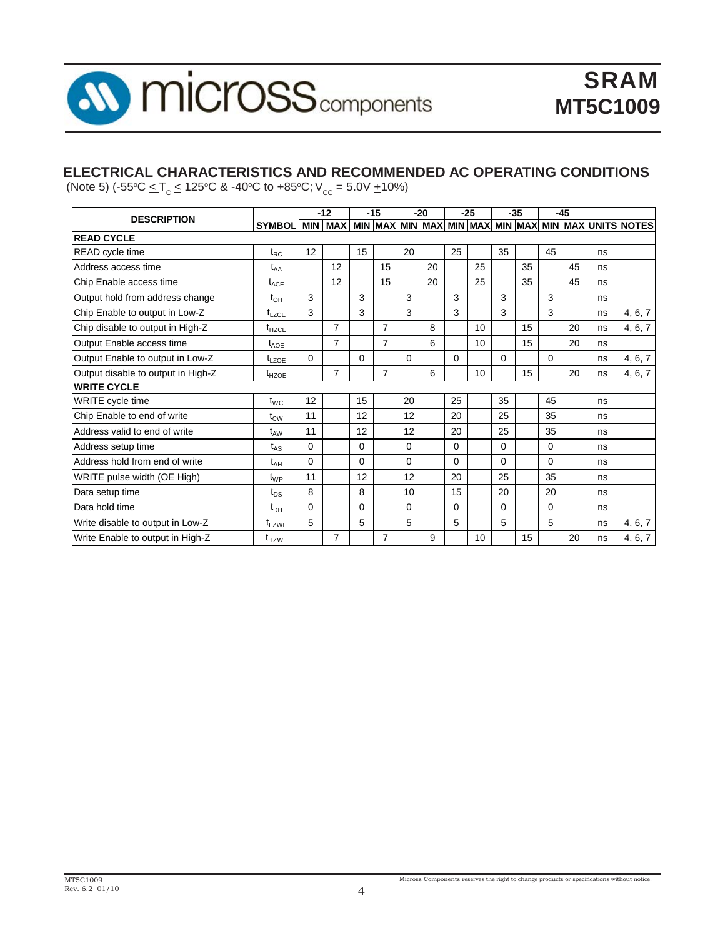

#### **ELECTRICAL CHARACTERISTICS AND RECOMMENDED AC OPERATING CONDITIONS**

(Note 5)  $(-55^{\circ}\text{C} \leq T_c \leq 125^{\circ}\text{C} \cdot \text{A} - 40^{\circ}\text{C}$  to  $+85^{\circ}\text{C}$ ;  $V_{cc} = 5.0\text{V} \pm 10\%$ )

| <b>DESCRIPTION</b>                 |                   |          | $-12$          |          | $-15$ |          | $-20$ |          | $-25$ |          | $-35$ |          | $-45$ |    |                                                                                       |
|------------------------------------|-------------------|----------|----------------|----------|-------|----------|-------|----------|-------|----------|-------|----------|-------|----|---------------------------------------------------------------------------------------|
|                                    | <b>SYMBOL</b>     |          |                |          |       |          |       |          |       |          |       |          |       |    | MIN   MAX   MIN   MAX   MIN   MAX   MIN   MAX   MIN   MAX   MIN   MAX   UNITS   NOTES |
| <b>READ CYCLE</b>                  |                   |          |                |          |       |          |       |          |       |          |       |          |       |    |                                                                                       |
| <b>READ</b> cycle time             | $t_{RC}$          | 12       |                | 15       |       | 20       |       | 25       |       | 35       |       | 45       |       | ns |                                                                                       |
| Address access time                | t <sub>AA</sub>   |          | 12             |          | 15    |          | 20    |          | 25    |          | 35    |          | 45    | ns |                                                                                       |
| Chip Enable access time            | $t_{ACE}$         |          | 12             |          | 15    |          | 20    |          | 25    |          | 35    |          | 45    | ns |                                                                                       |
| Output hold from address change    | $t_{\text{OH}}$   | 3        |                | 3        |       | 3        |       | 3        |       | 3        |       | 3        |       | ns |                                                                                       |
| Chip Enable to output in Low-Z     | $t_{LZCE}$        | 3        |                | 3        |       | 3        |       | 3        |       | 3        |       | 3        |       | ns | 4, 6, 7                                                                               |
| Chip disable to output in High-Z   | $t_{HZCE}$        |          | $\overline{7}$ |          | 7     |          | 8     |          | 10    |          | 15    |          | 20    | ns | 4, 6, 7                                                                               |
| Output Enable access time          | $t_{AOE}$         |          | $\overline{7}$ |          | 7     |          | 6     |          | 10    |          | 15    |          | 20    | ns |                                                                                       |
| Output Enable to output in Low-Z   | $t_{LZOE}$        | $\Omega$ |                | $\Omega$ |       | $\Omega$ |       | $\Omega$ |       | $\Omega$ |       | $\Omega$ |       | ns | 4, 6, 7                                                                               |
| Output disable to output in High-Z | $t_{HZOE}$        |          | $\overline{7}$ |          | 7     |          | 6     |          | 10    |          | 15    |          | 20    | ns | 4, 6, 7                                                                               |
| <b>WRITE CYCLE</b>                 |                   |          |                |          |       |          |       |          |       |          |       |          |       |    |                                                                                       |
| WRITE cycle time                   | $t_{WC}$          | 12       |                | 15       |       | 20       |       | 25       |       | 35       |       | 45       |       | ns |                                                                                       |
| Chip Enable to end of write        | $t_{\text{CW}}$   | 11       |                | 12       |       | 12       |       | 20       |       | 25       |       | 35       |       | ns |                                                                                       |
| Address valid to end of write      | $t_{AW}$          | 11       |                | 12       |       | 12       |       | 20       |       | 25       |       | 35       |       | ns |                                                                                       |
| Address setup time                 | $t_{AS}$          | 0        |                | 0        |       | 0        |       | 0        |       | $\Omega$ |       | 0        |       | ns |                                                                                       |
| Address hold from end of write     | $t_{AH}$          | $\Omega$ |                | $\Omega$ |       | 0        |       | 0        |       | $\Omega$ |       | $\Omega$ |       | ns |                                                                                       |
| WRITE pulse width (OE High)        | $t_{WP}$          | 11       |                | 12       |       | 12       |       | 20       |       | 25       |       | 35       |       | ns |                                                                                       |
| Data setup time                    | $t_{DS}$          | 8        |                | 8        |       | 10       |       | 15       |       | 20       |       | 20       |       | ns |                                                                                       |
| Data hold time                     | $t_{\text{DH}}$   | $\Omega$ |                | $\Omega$ |       | 0        |       | 0        |       | 0        |       | 0        |       | ns |                                                                                       |
| Write disable to output in Low-Z   | $t_{LZWE}$        | 5        |                | 5        |       | 5        |       | 5        |       | 5        |       | 5        |       | ns | 4, 6, 7                                                                               |
| Write Enable to output in High-Z   | t <sub>HZWE</sub> |          | $\overline{7}$ |          | 7     |          | 9     |          | 10    |          | 15    |          | 20    | ns | 4, 6, 7                                                                               |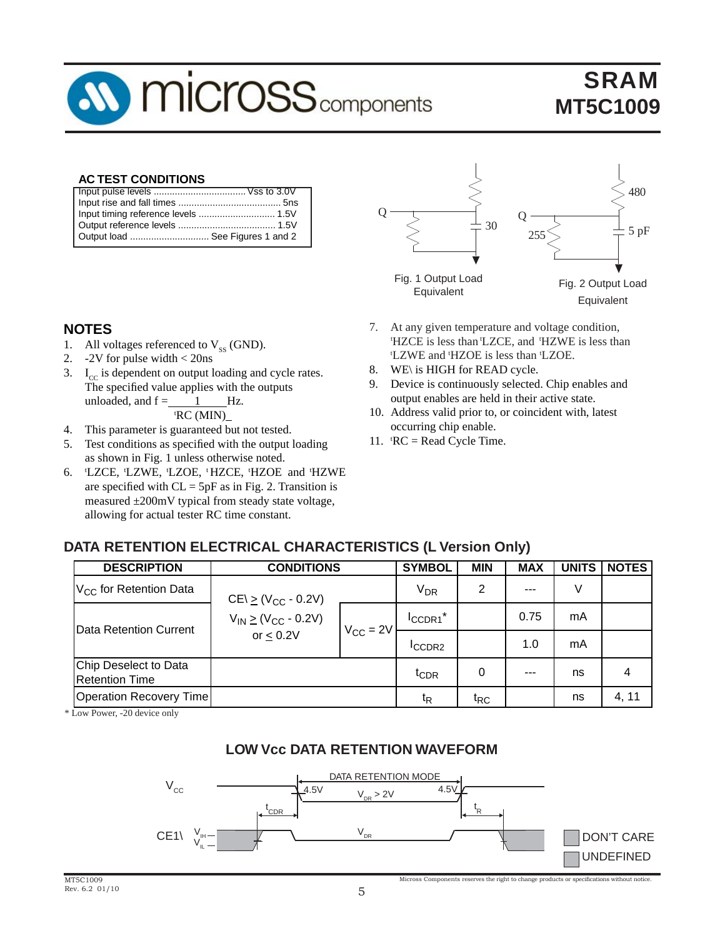# **MICrOSS** components

## SRAM **MT5C1009**

#### **AC TEST CONDITIONS**

| Output load  See Figures 1 and 2 |  |
|----------------------------------|--|
|                                  |  |

#### **NOTES**

- 1. All voltages referenced to  $V_{ss}$  (GND).<br>2. -2V for pulse width < 20ns
- 2. -2V for pulse width < 20ns
- 3.  $I_{cc}$  is dependent on output loading and cycle rates. The specified value applies with the outputs unloaded, and  $f =$  1 Hz. tRC (MIN)
- 4. This parameter is guaranteed but not tested.
- 5. Test conditions as specified with the output loading as shown in Fig. 1 unless otherwise noted.
- 6. t LZCE, tLZWE, tLZOE, t HZCE, tHZOE and tHZWE are specified with  $CL = 5pF$  as in Fig. 2. Transition is measured ±200mV typical from steady state voltage, allowing for actual tester RC time constant.



- 7. At any given temperature and voltage condition, tHZCE is less than tLZCE, and tHZWE is less than HZOE is less than 'LZOE.
- 8. WE\ is HIGH for READ cycle.
- 9. Device is continuously selected. Chip enables and output enables are held in their active state.
- 10. Address valid prior to, or coincident with, latest occurring chip enable.
- 11.  $RC = Read Cycle Time$ .

#### **DATA RETENTION ELECTRICAL CHARACTERISTICS (L Version Only)**

| <b>DESCRIPTION</b>                             | <b>CONDITIONS</b>            |  | <b>SYMBOL</b>         | <b>MIN</b>      | <b>MAX</b> | <b>UNITS</b> | <b>NOTES</b> |
|------------------------------------------------|------------------------------|--|-----------------------|-----------------|------------|--------------|--------------|
| V <sub>CC</sub> for Retention Data             | $CE \ge (V_{CC} - 0.2V)$     |  | <b>V<sub>DR</sub></b> | 2               | ---        | V            |              |
| Data Retention Current                         | $V_{IN} \ge (V_{CC} - 0.2V)$ |  | ICCDR1 <sup>*</sup>   |                 | 0.75       | mA           |              |
|                                                | $V_{CC} = 2V$<br>or $< 0.2V$ |  | <b>ICCDR2</b>         |                 | 1.0        | mA           |              |
| Chip Deselect to Data<br><b>Retention Time</b> |                              |  | <sup>I</sup> CDR      | 0               | $- - -$    | ns           | 4            |
| Operation Recovery Time                        |                              |  | $t_{\mathsf{R}}$      | t <sub>RC</sub> |            | ns           | 4, 11        |

\* Low Power, -20 device only

#### **LOW Vcc DATA RETENTION WAVEFORM**

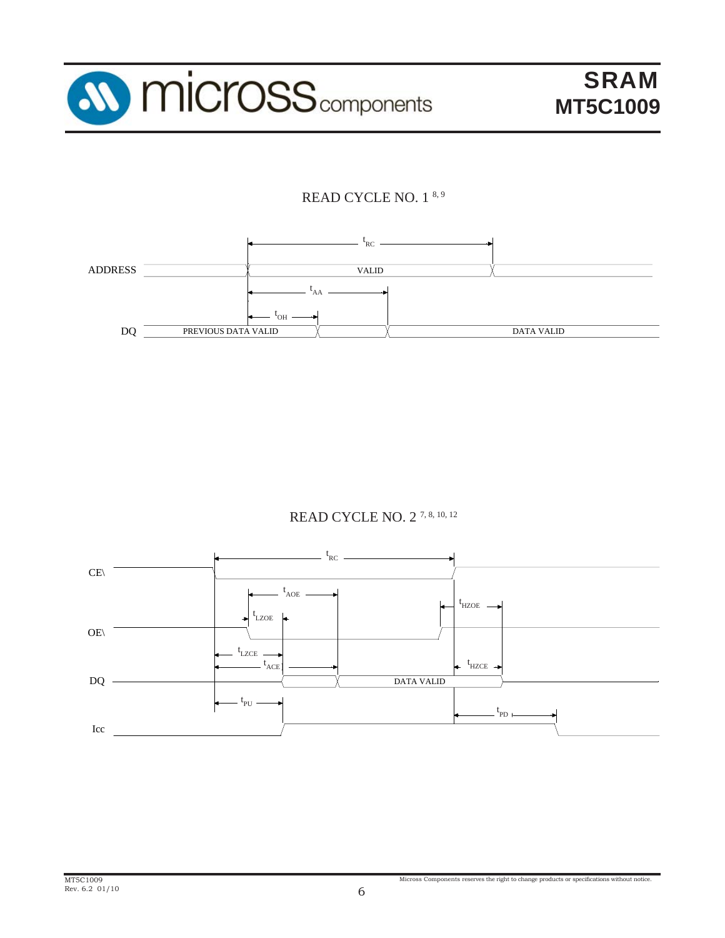

### READ CYCLE NO. 1 8, 9



#### READ CYCLE NO. 2 7, 8, 10, 12

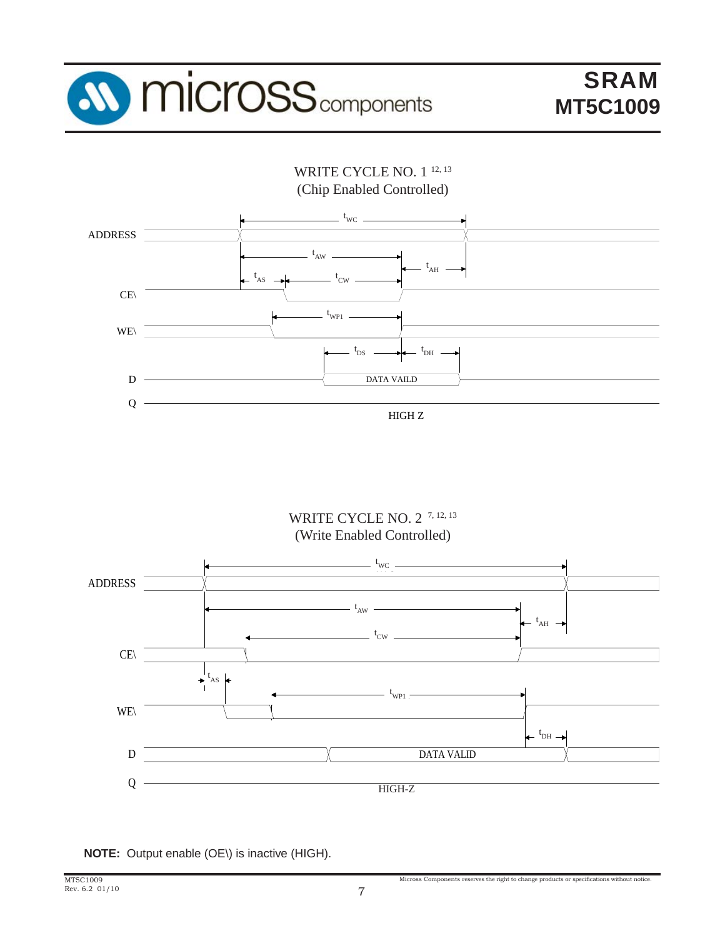



WRITE CYCLE NO. 2<sup>7, 12, 13</sup> (Write Enabled Controlled)



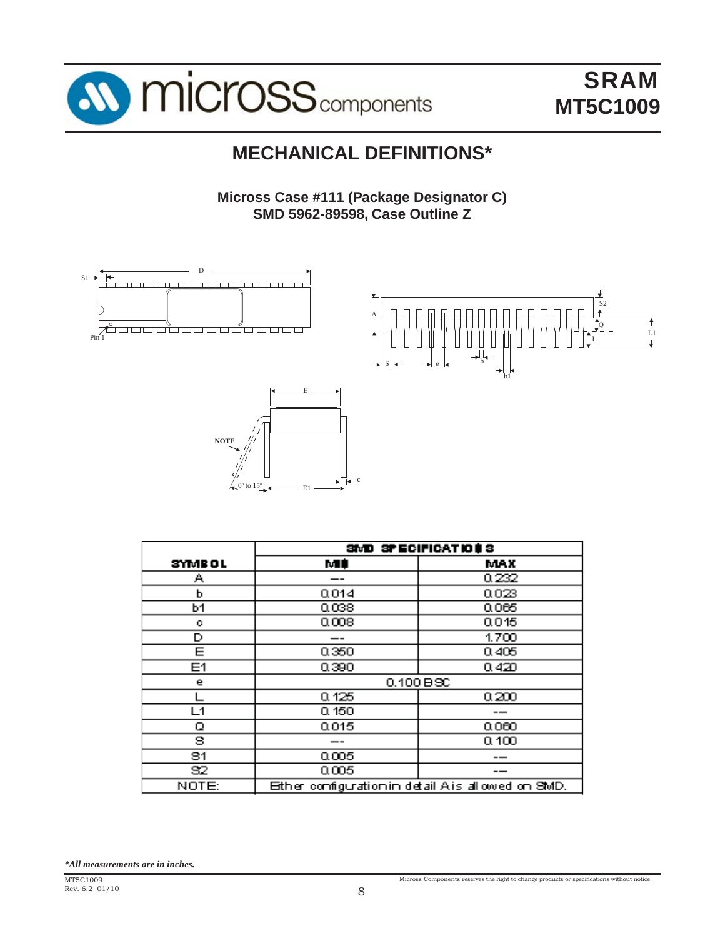

## **MECHANICAL DEFINITIONS\***

**Micross Case #111 (Package Designator C) SMD 5962-89598, Case Outline Z**







|                  |                                                    | SMD SPECIFICATIONS |  |  |  |  |
|------------------|----------------------------------------------------|--------------------|--|--|--|--|
| <b>SYMBOL</b>    | MÉ                                                 | <b>MAX</b>         |  |  |  |  |
| A                |                                                    | 0.232              |  |  |  |  |
| Ь                | 0.014                                              | 0023               |  |  |  |  |
| <b>b1</b>        | 0.038                                              | 0.065              |  |  |  |  |
| o                | 0.008                                              | 0.015              |  |  |  |  |
| D                |                                                    | 1.700              |  |  |  |  |
| E                | 0.350                                              | 0.405              |  |  |  |  |
| E <sub>1</sub>   | 0.390                                              | 0.420              |  |  |  |  |
| e                |                                                    | $0.100B$ SC        |  |  |  |  |
|                  | 0.125                                              | 0.200              |  |  |  |  |
| $\overline{1}$ 1 | 0,150                                              |                    |  |  |  |  |
| ο                | 0.015                                              | 0.060              |  |  |  |  |
| 9                |                                                    | 0.100              |  |  |  |  |
| 91               | 0.005                                              |                    |  |  |  |  |
| 32               | 0.005                                              |                    |  |  |  |  |
| NOTE:            | Ether configuration in detail A is allowed on SMD. |                    |  |  |  |  |

*\*All measurements are in inches.*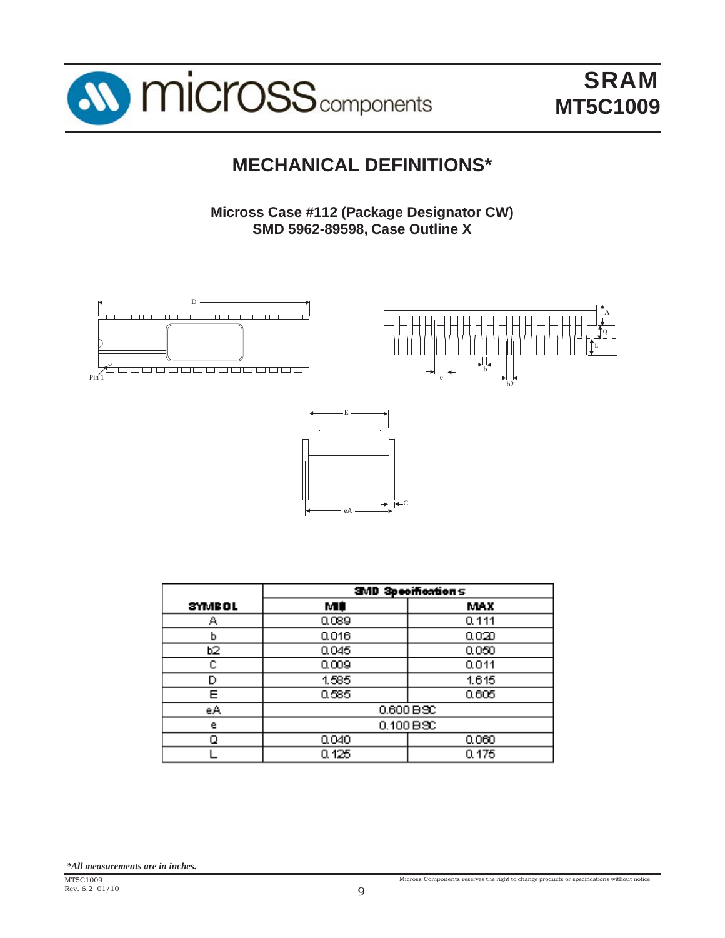

## **MECHANICAL DEFINITIONS\***

**Micross Case #112 (Package Designator CW) SMD 5962-89598, Case Outline X**



|               | <b>SMD Specifications</b> |       |  |  |  |  |  |  |
|---------------|---------------------------|-------|--|--|--|--|--|--|
| <b>SYMBOL</b> | мŧ                        | MAX   |  |  |  |  |  |  |
| д             | 0.089                     | 0.111 |  |  |  |  |  |  |
| ь             | 0.016                     | 0.020 |  |  |  |  |  |  |
| b2            | 0.045                     | 0.050 |  |  |  |  |  |  |
| c             | 0.009                     | 0.011 |  |  |  |  |  |  |
| D             | 1.585                     | 1.615 |  |  |  |  |  |  |
| Ε             | 0.585                     | 0.605 |  |  |  |  |  |  |
| eA            | $0.600B$ SC               |       |  |  |  |  |  |  |
| e             | 0.100 B3C                 |       |  |  |  |  |  |  |
|               | 0.040<br>0.060            |       |  |  |  |  |  |  |
|               | 0.125<br>0.175            |       |  |  |  |  |  |  |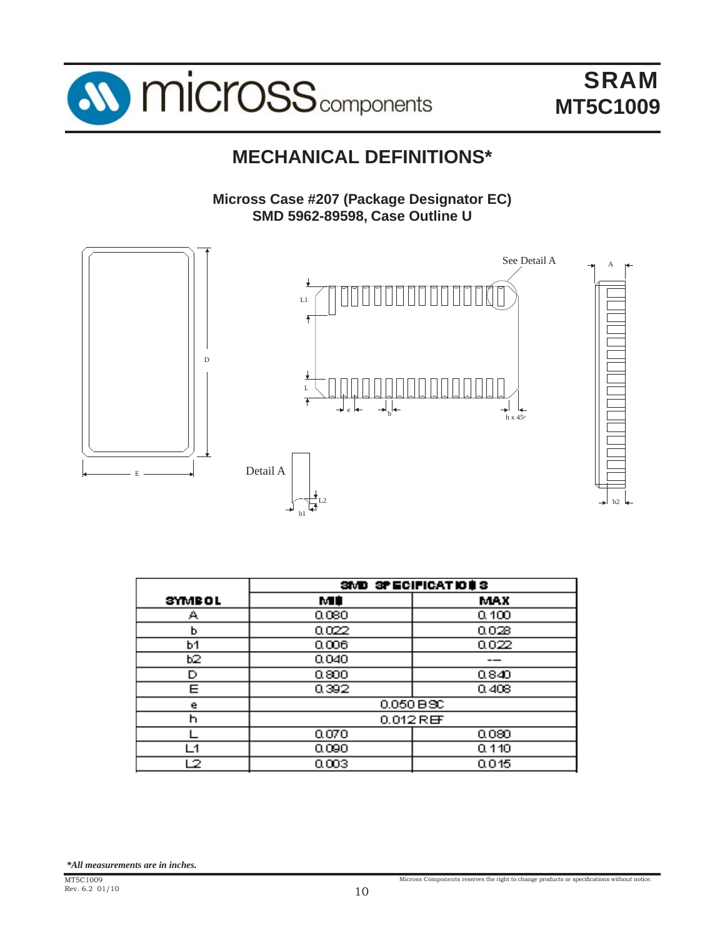

## **MECHANICAL DEFINITIONS\***

**Micross Case #207 (Package Designator EC) SMD 5962-89598, Case Outline U**



|         | SIVE SPECIFICATIONS |                      |  |  |
|---------|---------------------|----------------------|--|--|
| SYMB OL | MI                  | MAX.                 |  |  |
| Α       | 0.080               | 0.100                |  |  |
| ь       | 0.022               | 0.028                |  |  |
| b1      | 0.006               | 0.022                |  |  |
| Ь2.     | 0.040               |                      |  |  |
| D       | 0.800               | 0.840                |  |  |
| Е       | 0.392<br>0.408      |                      |  |  |
| е       | $0.050 B$ SC        |                      |  |  |
| h       |                     | $0.012$ R $\boxplus$ |  |  |
|         | 0.070               | 0.080                |  |  |
| - 1     | 0.090<br>0.110      |                      |  |  |
| 2       | 0.003               | 0.015                |  |  |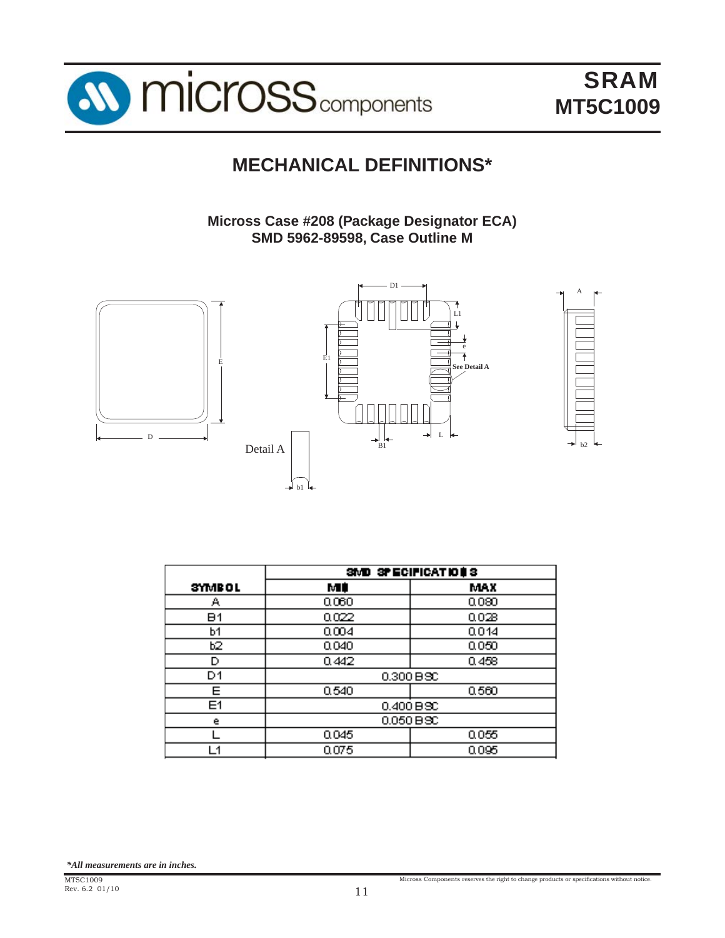

## **MECHANICAL DEFINITIONS\***

**Micross Case #208 (Package Designator ECA) SMD 5962-89598, Case Outline M**





|               | SMD SPECIFICATIONS |           |  |  |
|---------------|--------------------|-----------|--|--|
| <b>SYMBOL</b> | МÚ                 | MAX       |  |  |
| А             | 0.060              | 0.080     |  |  |
| B1            | 0.022              | 0.028     |  |  |
| ь1            | 0.004              | 0.014     |  |  |
| b2            | 0.040              | 0.050     |  |  |
| D             | 0.442              | 0.458     |  |  |
| D1            |                    | 0.300 BSC |  |  |
| Ε             | 0.540              | 0.560     |  |  |
| E1            | $0.400 B$ SC       |           |  |  |
| e             | 0.050 BSC          |           |  |  |
|               | 0.045<br>0.055     |           |  |  |
| L1            | 0.075              | 0.095     |  |  |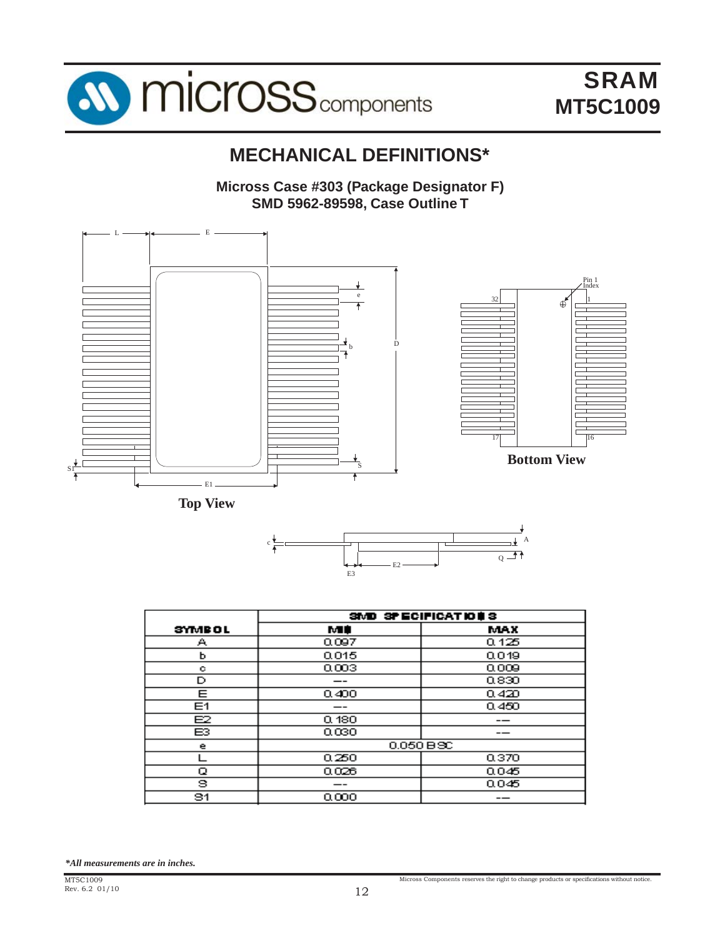

## **MECHANICAL DEFINITIONS\***

**Micross Case #303 (Package Designator F) SMD 5962-89598, Case Outline T**







|               | SMD SPECIFICATIONS |              |  |  |
|---------------|--------------------|--------------|--|--|
| <b>SYMBOL</b> | MФ                 | <b>MAX</b>   |  |  |
| А             | 0.097              | 0.125        |  |  |
| ь             | 0.015              | 0.019        |  |  |
| с             | 0.003              | 0.009        |  |  |
| D             | --                 | 0.830        |  |  |
| Ε             | 0.400              | 0.420        |  |  |
| Ε1            | --                 | 0.450        |  |  |
| E2            | 0.180              | --           |  |  |
| ЕЗ            | 0.030              |              |  |  |
| е             |                    | $0.050 B$ SC |  |  |
|               | 0.250              | 0.370        |  |  |
| Q             | 0.028              | 0.045        |  |  |
| s             |                    | 0.045        |  |  |
| 31            | 0.000              |              |  |  |

*\*All measurements are in inches.*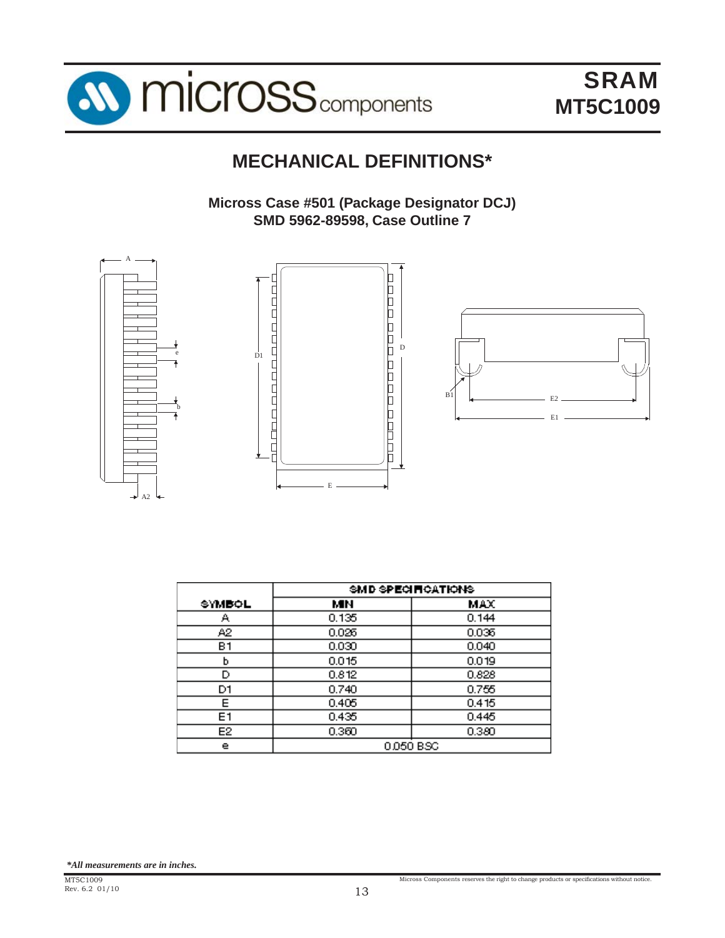

## **MECHANICAL DEFINITIONS\***

**Micross Case #501 (Package Designator DCJ) SMD 5962-89598, Case Outline 7**



|        | SMD SPECIFICATIONS. |           |  |
|--------|---------------------|-----------|--|
| SYMBOL | MН                  | MAX       |  |
| А      | 0.135               | 0.144     |  |
| A2.    | 0.026               | 0.036     |  |
| в1     | 0.030               | 0.040     |  |
| ь      | 0.015               | 0.019     |  |
| D      | 0.812               | 0.828     |  |
| D1     | 0.740               | 0.755     |  |
| Е      | 0.405               | 0.415     |  |
| E1     | 0.435               | 0.445     |  |
| E2     | 0.360               | 0.380     |  |
| e      |                     | 0.050 BSC |  |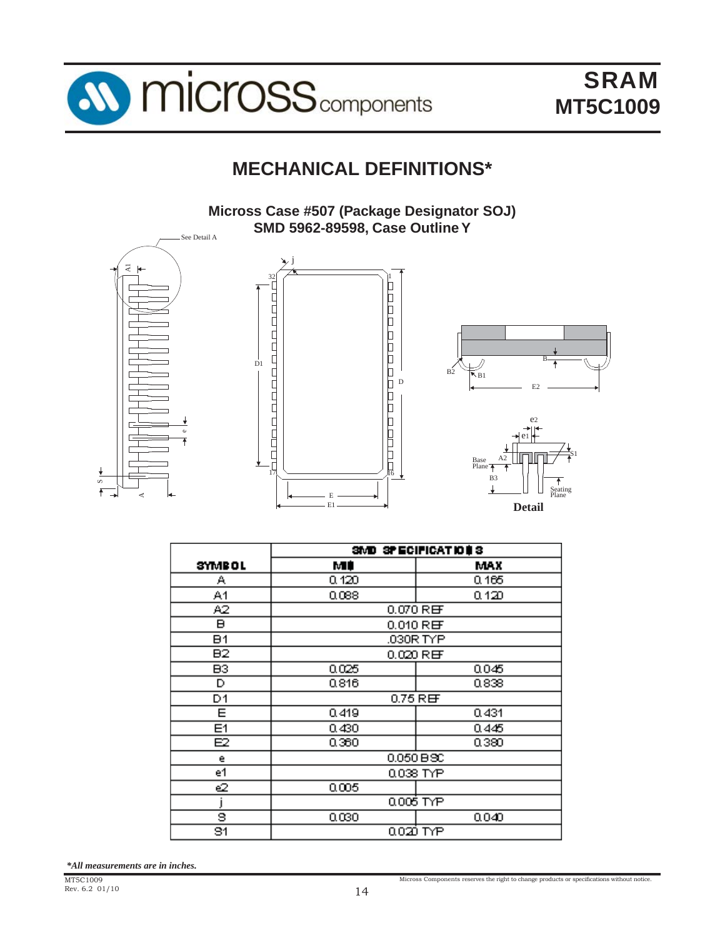

## **MECHANICAL DEFINITIONS\***

**Micross Case #507 (Package Designator SOJ) SMD 5962-89598, Case Outline Y**



|               | SMD SPECIFICATIONS |             |  |
|---------------|--------------------|-------------|--|
| <b>SYMBOL</b> | МÚ                 | MAX         |  |
| Α             | 0.120              | 0.165       |  |
| A1            | 0.088              | 0.120       |  |
| A2            | 0.070 REF          |             |  |
| в             |                    | $0.010$ REF |  |
| <b>B1</b>     |                    | .030R TYP   |  |
| B2            |                    | 0.020 REF   |  |
| B3            | 0.025              | 0.045       |  |
| D             | 0.816              | 0.838       |  |
| D1            | $0.75$ REF         |             |  |
| Е             | 0.419              | 0.431       |  |
| E1            | 0.430              | 0.445       |  |
| E2            | 0.360              | 0.380       |  |
| e             |                    | 0.050 BSC   |  |
| e1            |                    | 0.038 TYP   |  |
| లె            | 0.005              |             |  |
|               | 0.006 TYP          |             |  |
| 8             | 0.030              | 0.040       |  |
| 81            |                    | 0.020 TYP   |  |

*\*All measurements are in inches.*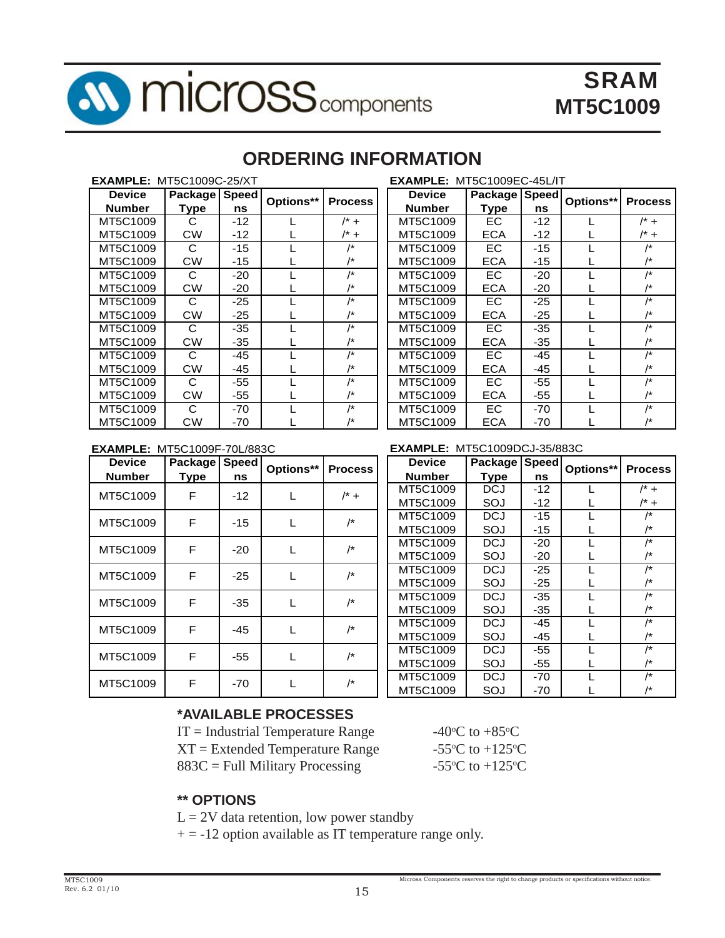

## **ORDERING INFORMATION**

| <b>EXAMPLE: MT5C1009C-25/XT</b> |                |              |           |                | <b>EXAMPLE</b> |
|---------------------------------|----------------|--------------|-----------|----------------|----------------|
| Device                          | <b>Package</b> | <b>Speed</b> | Options** | <b>Process</b> | <b>Device</b>  |
| <b>Number</b>                   | <b>Type</b>    | ns           |           |                | <b>Number</b>  |
| MT5C1009                        | С              | $-12$        |           | $/* +$         | MT5C100        |
| MT5C1009                        | <b>CW</b>      | $-12$        |           | $/* +$         | MT5C100        |
| MT5C1009                        | C              | $-15$        |           | /*             | MT5C100        |
| MT5C1009                        | <b>CW</b>      | $-15$        |           | /*             | MT5C100        |
| MT5C1009                        | C              | $-20$        |           | /*             | MT5C100        |
| MT5C1009                        | <b>CW</b>      | $-20$        |           | /*             | MT5C100        |
| MT5C1009                        | С              | $-25$        |           | /*             | MT5C100        |
| MT5C1009                        | <b>CW</b>      | $-25$        |           | /*             | MT5C100        |
| MT5C1009                        | C              | -35          |           | /*             | MT5C100        |
| MT5C1009                        | <b>CW</b>      | -35          |           | /*             | MT5C100        |
| MT5C1009                        | C              | -45          |           | $/$ *          | MT5C100        |
| MT5C1009                        | <b>CW</b>      | -45          |           | /*             | MT5C100        |
| MT5C1009                        | C              | -55          |           | /*             | MT5C100        |
| MT5C1009                        | <b>CW</b>      | -55          |           | /*             | MT5C100        |
| MT5C1009                        | C              | $-70$        |           | /*             | MT5C100        |
| MT5C1009                        | СW             | -70          |           | /*             | MT5C100        |

| <b>EXAMPLE: MT5C1009EC-45L/IT</b> |               |       |           |                |  |
|-----------------------------------|---------------|-------|-----------|----------------|--|
| Device                            | Package Speed |       | Options** | <b>Process</b> |  |
| <b>Number</b>                     | Type          | ns    |           |                |  |
| MT5C1009                          | EC.           | $-12$ |           | $/^*$ +        |  |
| MT5C1009                          | ECA           | $-12$ |           | /* +           |  |
| MT5C1009                          | ЕC            | $-15$ |           | /*             |  |
| MT5C1009                          | ECA           | $-15$ |           | /*             |  |
| MT5C1009                          | EC            | $-20$ |           | /*             |  |
| MT5C1009                          | ECA           | $-20$ |           | /*             |  |
| MT5C1009                          | EC            | -25   |           | /*             |  |
| MT5C1009                          | ECA           | $-25$ |           |                |  |
| MT5C1009                          | EC            | $-35$ |           | /*             |  |
| MT5C1009                          | ECA           | -35   |           | /*             |  |
| MT5C1009                          | EC            | $-45$ |           | /*             |  |
| MT5C1009                          | ECA           | $-45$ |           | /*             |  |
| MT5C1009                          | EC            | -55   |           | /*             |  |
| MT5C1009                          | ECA           | $-55$ |           | /*             |  |
| MT5C1009                          | EС            | $-70$ |           | /*             |  |
| MT5C1009                          | ECA           | $-70$ |           | /*             |  |

#### **EXAMPLE:** MT5C1009F-70L/883C

| <b>Device</b> | Package | <b>Speed</b> | Options** | <b>Process</b> | <b>Device</b> |
|---------------|---------|--------------|-----------|----------------|---------------|
| <b>Number</b> | Type    | ns           |           | <b>Number</b>  |               |
| MT5C1009      | F       | $-12$        |           | $/* +$         | MT5C1009      |
|               |         |              |           |                | MT5C1009      |
| MT5C1009      | F       |              |           | /*             | MT5C1009      |
|               |         | $-15$        |           |                | MT5C1009      |
| MT5C1009      | F       | $-20$        | L         | /*             | MT5C1009      |
|               |         |              |           |                | MT5C1009      |
| MT5C1009      | F       | $-25$        |           | /*             | MT5C1009      |
|               |         |              |           |                | MT5C1009      |
| MT5C1009      | F       | $-35$        |           | /*             | MT5C1009      |
|               |         |              |           |                | MT5C1009      |
| MT5C1009      | F       | $-45$        |           | /*             | MT5C1009      |
|               |         |              |           |                | MT5C1009      |
| MT5C1009      | F       | $-55$        |           | /*             | MT5C1009      |
|               |         |              |           |                | MT5C1009      |
| MT5C1009      | F       | -70          |           | /*             | MT5C1009      |
|               |         |              |           |                | MT5C1009      |

#### **EXAMPLE:** MT5C1009DCJ-35/883C

| <b>Device</b> | Package | <b>Speed</b> |           |                |
|---------------|---------|--------------|-----------|----------------|
| <b>Number</b> | Type    | ns           | Options** | <b>Process</b> |
| MT5C1009      | DCJ     | $-12$        | L         | $/^*$ +        |
| MT5C1009      | SOJ     | $-12$        |           | /* +           |
| MT5C1009      | DCJ     | -15          |           | /*             |
| MT5C1009      | SOJ     | -15          |           | /*             |
| MT5C1009      | DCJ     | $-20$        |           | /*             |
| MT5C1009      | SOJ     | -20          |           | /*             |
| MT5C1009      | DCJ     | -25          |           | /*             |
| MT5C1009      | SOJ     | -25          |           | /*             |
| MT5C1009      | DCJ     | -35          |           | /*             |
| MT5C1009      | SOJ     | -35          |           | /*             |
| MT5C1009      | DCJ     | -45          |           | /*             |
| MT5C1009      | SOJ     | -45          |           | /*             |
| MT5C1009      | DCJ     | -55          |           | /*             |
| MT5C1009      | SOJ     | -55          |           | /*             |
| MT5C1009      | DCJ     | -70          |           | /*             |
| MT5C1009      | SOJ     | -70          |           | /*             |

#### **\*AVAILABLE PROCESSES**

| $IT = Industrial Temperature Range$ | $-40^{\circ}$ |
|-------------------------------------|---------------|
| $XT = Extended Temperature Range$   | $-55^\circ$   |
| $883C =$ Full Military Processing   | $-55^\circ$   |

C to  $+85^{\circ}$ C C to  $+125$ <sup>o</sup>C C to  $+125$ <sup>o</sup>C

#### **\*\* OPTIONS**

 $L = 2V$  data retention, low power standby

 $+ = -12$  option available as IT temperature range only.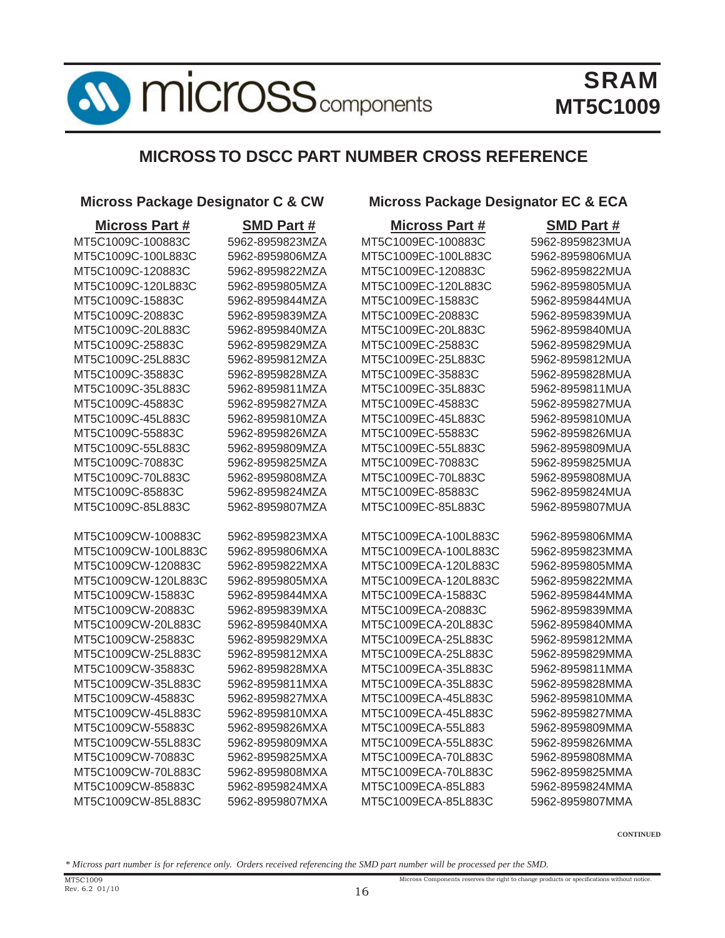

### **MICROSS TO DSCC PART NUMBER CROSS REFERENCE**

#### **Micross Package Designator C & CW Micross Package Designator EC & ECA**

| <b>Micross Part #</b> | <b>SMD Part#</b> | <b>Micross Part #</b> | <b>SMD Part#</b> |
|-----------------------|------------------|-----------------------|------------------|
| MT5C1009C-100883C     | 5962-8959823MZA  | MT5C1009EC-100883C    | 5962-8959823MUA  |
| MT5C1009C-100L883C    | 5962-8959806MZA  | MT5C1009EC-100L883C   | 5962-8959806MUA  |
| MT5C1009C-120883C     | 5962-8959822MZA  | MT5C1009EC-120883C    | 5962-8959822MUA  |
| MT5C1009C-120L883C    | 5962-8959805MZA  | MT5C1009EC-120L883C   | 5962-8959805MUA  |
| MT5C1009C-15883C      | 5962-8959844MZA  | MT5C1009EC-15883C     | 5962-8959844MUA  |
| MT5C1009C-20883C      | 5962-8959839MZA  | MT5C1009EC-20883C     | 5962-8959839MUA  |
| MT5C1009C-20L883C     | 5962-8959840MZA  | MT5C1009EC-20L883C    | 5962-8959840MUA  |
| MT5C1009C-25883C      | 5962-8959829MZA  | MT5C1009EC-25883C     | 5962-8959829MUA  |
| MT5C1009C-25L883C     | 5962-8959812MZA  | MT5C1009EC-25L883C    | 5962-8959812MUA  |
| MT5C1009C-35883C      | 5962-8959828MZA  | MT5C1009EC-35883C     | 5962-8959828MUA  |
| MT5C1009C-35L883C     | 5962-8959811MZA  | MT5C1009EC-35L883C    | 5962-8959811MUA  |
| MT5C1009C-45883C      | 5962-8959827MZA  | MT5C1009EC-45883C     | 5962-8959827MUA  |
| MT5C1009C-45L883C     | 5962-8959810MZA  | MT5C1009EC-45L883C    | 5962-8959810MUA  |
| MT5C1009C-55883C      | 5962-8959826MZA  | MT5C1009EC-55883C     | 5962-8959826MUA  |
| MT5C1009C-55L883C     | 5962-8959809MZA  | MT5C1009EC-55L883C    | 5962-8959809MUA  |
| MT5C1009C-70883C      | 5962-8959825MZA  | MT5C1009EC-70883C     | 5962-8959825MUA  |
| MT5C1009C-70L883C     | 5962-8959808MZA  | MT5C1009EC-70L883C    | 5962-8959808MUA  |
| MT5C1009C-85883C      | 5962-8959824MZA  | MT5C1009EC-85883C     | 5962-8959824MUA  |
| MT5C1009C-85L883C     | 5962-8959807MZA  | MT5C1009EC-85L883C    | 5962-8959807MUA  |
| MT5C1009CW-100883C    | 5962-8959823MXA  | MT5C1009ECA-100L883C  | 5962-8959806MMA  |
| MT5C1009CW-100L883C   | 5962-8959806MXA  | MT5C1009ECA-100L883C  | 5962-8959823MMA  |
| MT5C1009CW-120883C    | 5962-8959822MXA  | MT5C1009ECA-120L883C  | 5962-8959805MMA  |
| MT5C1009CW-120L883C   | 5962-8959805MXA  | MT5C1009ECA-120L883C  | 5962-8959822MMA  |
| MT5C1009CW-15883C     | 5962-8959844MXA  | MT5C1009ECA-15883C    | 5962-8959844MMA  |
| MT5C1009CW-20883C     | 5962-8959839MXA  | MT5C1009ECA-20883C    | 5962-8959839MMA  |
| MT5C1009CW-20L883C    | 5962-8959840MXA  | MT5C1009ECA-20L883C   | 5962-8959840MMA  |
| MT5C1009CW-25883C     | 5962-8959829MXA  | MT5C1009ECA-25L883C   | 5962-8959812MMA  |
| MT5C1009CW-25L883C    | 5962-8959812MXA  | MT5C1009ECA-25L883C   | 5962-8959829MMA  |
| MT5C1009CW-35883C     | 5962-8959828MXA  | MT5C1009ECA-35L883C   | 5962-8959811MMA  |
| MT5C1009CW-35L883C    | 5962-8959811MXA  | MT5C1009ECA-35L883C   | 5962-8959828MMA  |
| MT5C1009CW-45883C     | 5962-8959827MXA  | MT5C1009ECA-45L883C   | 5962-8959810MMA  |
| MT5C1009CW-45L883C    | 5962-8959810MXA  | MT5C1009ECA-45L883C   | 5962-8959827MMA  |
| MT5C1009CW-55883C     | 5962-8959826MXA  | MT5C1009ECA-55L883    | 5962-8959809MMA  |
| MT5C1009CW-55L883C    | 5962-8959809MXA  | MT5C1009ECA-55L883C   | 5962-8959826MMA  |
| MT5C1009CW-70883C     | 5962-8959825MXA  | MT5C1009ECA-70L883C   | 5962-8959808MMA  |
| MT5C1009CW-70L883C    | 5962-8959808MXA  | MT5C1009ECA-70L883C   | 5962-8959825MMA  |
| MT5C1009CW-85883C     | 5962-8959824MXA  | MT5C1009ECA-85L883    | 5962-8959824MMA  |
| MT5C1009CW-85L883C    | 5962-8959807MXA  | MT5C1009ECA-85L883C   | 5962-8959807MMA  |

**CONTINUED**

Micross Components reserves the right to change products or specifications without notice.

*\* Micross part number is for reference only. Orders received referencing the SMD part number will be processed per the SMD.*